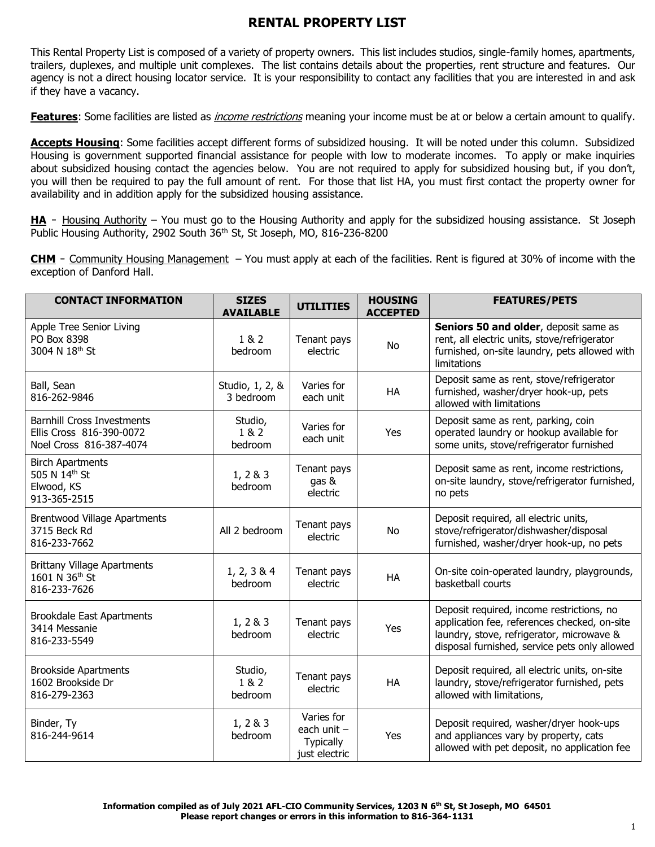This Rental Property List is composed of a variety of property owners. This list includes studios, single-family homes, apartments, trailers, duplexes, and multiple unit complexes. The list contains details about the properties, rent structure and features. Our agency is not a direct housing locator service. It is your responsibility to contact any facilities that you are interested in and ask if they have a vacancy.

**Features**: Some facilities are listed as *income restrictions* meaning your income must be at or below a certain amount to qualify.

**Accepts Housing**: Some facilities accept different forms of subsidized housing. It will be noted under this column. Subsidized Housing is government supported financial assistance for people with low to moderate incomes. To apply or make inquiries about subsidized housing contact the agencies below. You are not required to apply for subsidized housing but, if you don't, you will then be required to pay the full amount of rent. For those that list HA, you must first contact the property owner for availability and in addition apply for the subsidized housing assistance.

HA - Housing Authority – You must go to the Housing Authority and apply for the subsidized housing assistance. St Joseph Public Housing Authority, 2902 South 36<sup>th</sup> St, St Joseph, MO, 816-236-8200

**CHM** - Community Housing Management – You must apply at each of the facilities. Rent is figured at 30% of income with the exception of Danford Hall.

| <b>CONTACT INFORMATION</b>                                                               | <b>SIZES</b><br><b>AVAILABLE</b> | <b>UTILITIES</b>                                                 | <b>HOUSING</b><br><b>ACCEPTED</b> | <b>FEATURES/PETS</b>                                                                                                                                                                    |
|------------------------------------------------------------------------------------------|----------------------------------|------------------------------------------------------------------|-----------------------------------|-----------------------------------------------------------------------------------------------------------------------------------------------------------------------------------------|
| Apple Tree Senior Living<br>PO Box 8398<br>3004 N 18th St                                | 1 & 2<br>bedroom                 | Tenant pays<br>electric                                          | No                                | Seniors 50 and older, deposit same as<br>rent, all electric units, stove/refrigerator<br>furnished, on-site laundry, pets allowed with<br>limitations                                   |
| Ball, Sean<br>816-262-9846                                                               | Studio, 1, 2, &<br>3 bedroom     | Varies for<br>each unit                                          | HA                                | Deposit same as rent, stove/refrigerator<br>furnished, washer/dryer hook-up, pets<br>allowed with limitations                                                                           |
| <b>Barnhill Cross Investments</b><br>Ellis Cross 816-390-0072<br>Noel Cross 816-387-4074 | Studio,<br>1 & 2<br>bedroom      | Varies for<br>each unit                                          | Yes                               | Deposit same as rent, parking, coin<br>operated laundry or hookup available for<br>some units, stove/refrigerator furnished                                                             |
| <b>Birch Apartments</b><br>505 N 14th St<br>Elwood, KS<br>913-365-2515                   | 1, 2 & 3<br>bedroom              | Tenant pays<br>gas &<br>electric                                 |                                   | Deposit same as rent, income restrictions,<br>on-site laundry, stove/refrigerator furnished,<br>no pets                                                                                 |
| <b>Brentwood Village Apartments</b><br>3715 Beck Rd<br>816-233-7662                      | All 2 bedroom                    | Tenant pays<br>electric                                          | No                                | Deposit required, all electric units,<br>stove/refrigerator/dishwasher/disposal<br>furnished, washer/dryer hook-up, no pets                                                             |
| <b>Brittany Village Apartments</b><br>1601 N 36th St<br>816-233-7626                     | 1, 2, 3 & 4<br>bedroom           | Tenant pays<br>electric                                          | HA                                | On-site coin-operated laundry, playgrounds,<br>basketball courts                                                                                                                        |
| <b>Brookdale East Apartments</b><br>3414 Messanie<br>816-233-5549                        | 1, 2 & 3<br>bedroom              | Tenant pays<br>electric                                          | Yes                               | Deposit required, income restrictions, no<br>application fee, references checked, on-site<br>laundry, stove, refrigerator, microwave &<br>disposal furnished, service pets only allowed |
| <b>Brookside Apartments</b><br>1602 Brookside Dr<br>816-279-2363                         | Studio,<br>1 & 2<br>bedroom      | Tenant pays<br>electric                                          | HA                                | Deposit required, all electric units, on-site<br>laundry, stove/refrigerator furnished, pets<br>allowed with limitations,                                                               |
| Binder, Ty<br>816-244-9614                                                               | 1, 2 & 3<br>bedroom              | Varies for<br>each unit $-$<br><b>Typically</b><br>just electric | Yes                               | Deposit required, washer/dryer hook-ups<br>and appliances vary by property, cats<br>allowed with pet deposit, no application fee                                                        |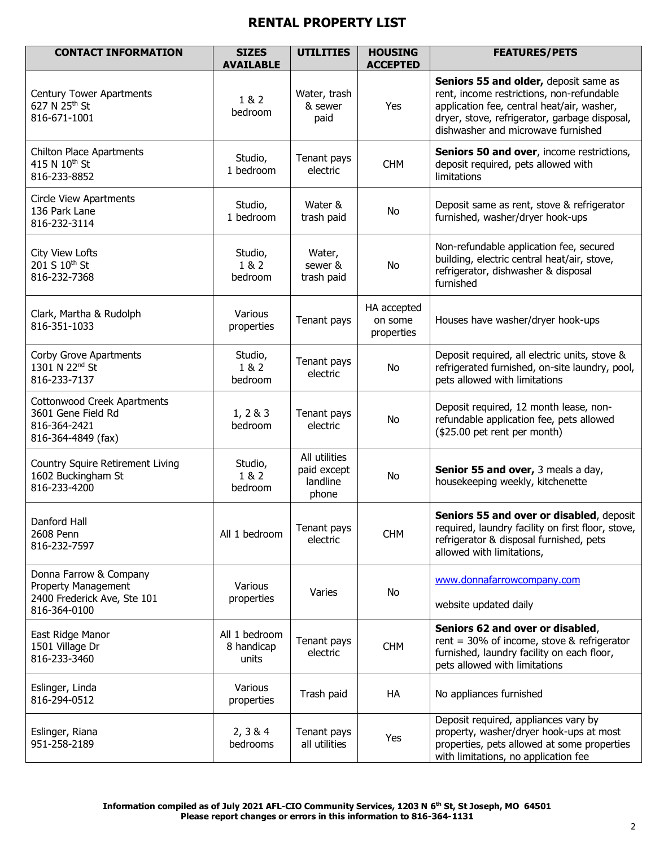| <b>CONTACT INFORMATION</b>                                                                          | <b>SIZES</b><br><b>AVAILABLE</b>     | <b>UTILITIES</b>                                  | <b>HOUSING</b><br><b>ACCEPTED</b>    | <b>FEATURES/PETS</b>                                                                                                                                                                                                    |
|-----------------------------------------------------------------------------------------------------|--------------------------------------|---------------------------------------------------|--------------------------------------|-------------------------------------------------------------------------------------------------------------------------------------------------------------------------------------------------------------------------|
| <b>Century Tower Apartments</b><br>627 N 25 <sup>th</sup> St<br>816-671-1001                        | 1 & 2<br>bedroom                     | Water, trash<br>& sewer<br>paid                   | Yes                                  | Seniors 55 and older, deposit same as<br>rent, income restrictions, non-refundable<br>application fee, central heat/air, washer,<br>dryer, stove, refrigerator, garbage disposal,<br>dishwasher and microwave furnished |
| <b>Chilton Place Apartments</b><br>415 N 10 <sup>th</sup> St<br>816-233-8852                        | Studio,<br>1 bedroom                 | Tenant pays<br>electric                           | <b>CHM</b>                           | Seniors 50 and over, income restrictions,<br>deposit required, pets allowed with<br>limitations                                                                                                                         |
| <b>Circle View Apartments</b><br>136 Park Lane<br>816-232-3114                                      | Studio,<br>1 bedroom                 | Water &<br>trash paid                             | No                                   | Deposit same as rent, stove & refrigerator<br>furnished, washer/dryer hook-ups                                                                                                                                          |
| City View Lofts<br>201 S 10th St<br>816-232-7368                                                    | Studio,<br>1 & 2<br>bedroom          | Water,<br>sewer &<br>trash paid                   | No                                   | Non-refundable application fee, secured<br>building, electric central heat/air, stove,<br>refrigerator, dishwasher & disposal<br>furnished                                                                              |
| Clark, Martha & Rudolph<br>816-351-1033                                                             | Various<br>properties                | Tenant pays                                       | HA accepted<br>on some<br>properties | Houses have washer/dryer hook-ups                                                                                                                                                                                       |
| Corby Grove Apartments<br>1301 N 22 <sup>nd</sup> St<br>816-233-7137                                | Studio,<br>1 & 2<br>bedroom          | Tenant pays<br>electric                           | No                                   | Deposit required, all electric units, stove &<br>refrigerated furnished, on-site laundry, pool,<br>pets allowed with limitations                                                                                        |
| Cottonwood Creek Apartments<br>3601 Gene Field Rd<br>816-364-2421<br>816-364-4849 (fax)             | 1, 283<br>bedroom                    | Tenant pays<br>electric                           | No                                   | Deposit required, 12 month lease, non-<br>refundable application fee, pets allowed<br>(\$25.00 pet rent per month)                                                                                                      |
| Country Squire Retirement Living<br>1602 Buckingham St<br>816-233-4200                              | Studio,<br>1 & 2<br>bedroom          | All utilities<br>paid except<br>landline<br>phone | No                                   | Senior 55 and over, 3 meals a day,<br>housekeeping weekly, kitchenette                                                                                                                                                  |
| Danford Hall<br>2608 Penn<br>816-232-7597                                                           | All 1 bedroom                        | Tenant pays<br>electric                           | <b>CHM</b>                           | Seniors 55 and over or disabled, deposit<br>required, laundry facility on first floor, stove,<br>refrigerator & disposal furnished, pets<br>allowed with limitations,                                                   |
| Donna Farrow & Company<br><b>Property Management</b><br>2400 Frederick Ave, Ste 101<br>816-364-0100 | Various<br>properties                | Varies                                            | No                                   | www.donnafarrowcompany.com<br>website updated daily                                                                                                                                                                     |
| East Ridge Manor<br>1501 Village Dr<br>816-233-3460                                                 | All 1 bedroom<br>8 handicap<br>units | Tenant pays<br>electric                           | <b>CHM</b>                           | Seniors 62 and over or disabled,<br>rent = $30\%$ of income, stove & refrigerator<br>furnished, laundry facility on each floor,<br>pets allowed with limitations                                                        |
| Eslinger, Linda<br>816-294-0512                                                                     | Various<br>properties                | Trash paid                                        | HA                                   | No appliances furnished                                                                                                                                                                                                 |
| Eslinger, Riana<br>951-258-2189                                                                     | 2, 3 & 4<br>bedrooms                 | Tenant pays<br>all utilities                      | Yes                                  | Deposit required, appliances vary by<br>property, washer/dryer hook-ups at most<br>properties, pets allowed at some properties<br>with limitations, no application fee                                                  |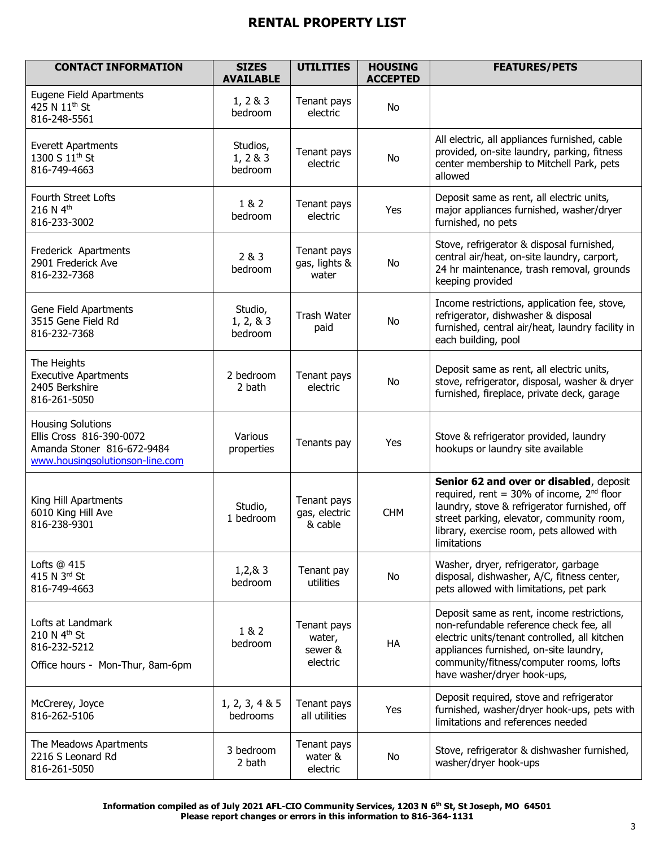| <b>CONTACT INFORMATION</b>                                                                                            | <b>SIZES</b><br><b>AVAILABLE</b> | <b>UTILITIES</b>                             | <b>HOUSING</b><br><b>ACCEPTED</b> | <b>FEATURES/PETS</b>                                                                                                                                                                                                                                       |
|-----------------------------------------------------------------------------------------------------------------------|----------------------------------|----------------------------------------------|-----------------------------------|------------------------------------------------------------------------------------------------------------------------------------------------------------------------------------------------------------------------------------------------------------|
| Eugene Field Apartments<br>425 N 11 <sup>th</sup> St<br>816-248-5561                                                  | 1, 2 & 3<br>bedroom              | Tenant pays<br>electric                      | No                                |                                                                                                                                                                                                                                                            |
| <b>Everett Apartments</b><br>1300 S 11 <sup>th</sup> St<br>816-749-4663                                               | Studios,<br>1, 2 & 3<br>bedroom  | Tenant pays<br>electric                      | No                                | All electric, all appliances furnished, cable<br>provided, on-site laundry, parking, fitness<br>center membership to Mitchell Park, pets<br>allowed                                                                                                        |
| Fourth Street Lofts<br>216 N 4th<br>816-233-3002                                                                      | 1 & 2<br>bedroom                 | Tenant pays<br>electric                      | Yes                               | Deposit same as rent, all electric units,<br>major appliances furnished, washer/dryer<br>furnished, no pets                                                                                                                                                |
| Frederick Apartments<br>2901 Frederick Ave<br>816-232-7368                                                            | 2 & 3<br>bedroom                 | Tenant pays<br>gas, lights &<br>water        | No                                | Stove, refrigerator & disposal furnished,<br>central air/heat, on-site laundry, carport,<br>24 hr maintenance, trash removal, grounds<br>keeping provided                                                                                                  |
| Gene Field Apartments<br>3515 Gene Field Rd<br>816-232-7368                                                           | Studio,<br>1, 2, 8, 3<br>bedroom | <b>Trash Water</b><br>paid                   | No                                | Income restrictions, application fee, stove,<br>refrigerator, dishwasher & disposal<br>furnished, central air/heat, laundry facility in<br>each building, pool                                                                                             |
| The Heights<br><b>Executive Apartments</b><br>2405 Berkshire<br>816-261-5050                                          | 2 bedroom<br>2 bath              | Tenant pays<br>electric                      | No                                | Deposit same as rent, all electric units,<br>stove, refrigerator, disposal, washer & dryer<br>furnished, fireplace, private deck, garage                                                                                                                   |
| <b>Housing Solutions</b><br>Ellis Cross 816-390-0072<br>Amanda Stoner 816-672-9484<br>www.housingsolutionson-line.com | Various<br>properties            | Tenants pay                                  | Yes                               | Stove & refrigerator provided, laundry<br>hookups or laundry site available                                                                                                                                                                                |
| King Hill Apartments<br>6010 King Hill Ave<br>816-238-9301                                                            | Studio,<br>1 bedroom             | Tenant pays<br>gas, electric<br>& cable      | <b>CHM</b>                        | Senior 62 and over or disabled, deposit<br>required, rent = 30% of income, 2 <sup>nd</sup> floor<br>laundry, stove & refrigerator furnished, off<br>street parking, elevator, community room,<br>library, exercise room, pets allowed with<br>limitations  |
| Lofts @ 415<br>415 N 3rd St<br>816-749-4663                                                                           | 1,2,8,3<br>bedroom               | Tenant pay<br>utilities                      | <b>No</b>                         | Washer, dryer, refrigerator, garbage<br>disposal, dishwasher, A/C, fitness center,<br>pets allowed with limitations, pet park                                                                                                                              |
| Lofts at Landmark<br>210 N 4 <sup>th</sup> St<br>816-232-5212<br>Office hours - Mon-Thur, 8am-6pm                     | 1 & 2<br>bedroom                 | Tenant pays<br>water,<br>sewer &<br>electric | HA                                | Deposit same as rent, income restrictions,<br>non-refundable reference check fee, all<br>electric units/tenant controlled, all kitchen<br>appliances furnished, on-site laundry,<br>community/fitness/computer rooms, lofts<br>have washer/dryer hook-ups, |
| McCrerey, Joyce<br>816-262-5106                                                                                       | 1, 2, 3, 4 & 5<br>bedrooms       | Tenant pays<br>all utilities                 | Yes                               | Deposit required, stove and refrigerator<br>furnished, washer/dryer hook-ups, pets with<br>limitations and references needed                                                                                                                               |
| The Meadows Apartments<br>2216 S Leonard Rd<br>816-261-5050                                                           | 3 bedroom<br>2 bath              | Tenant pays<br>water &<br>electric           | No                                | Stove, refrigerator & dishwasher furnished,<br>washer/dryer hook-ups                                                                                                                                                                                       |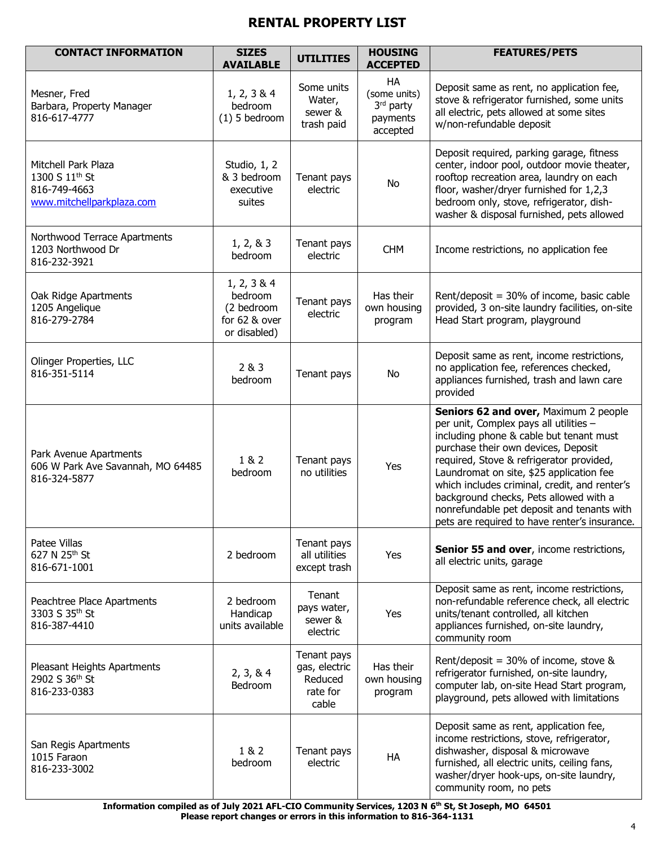| <b>CONTACT INFORMATION</b>                                                                     | <b>SIZES</b><br><b>AVAILABLE</b>                                      | <b>UTILITIES</b>                                             | <b>HOUSING</b><br><b>ACCEPTED</b>                       | <b>FEATURES/PETS</b>                                                                                                                                                                                                                                                                                                                                                                                                                                |
|------------------------------------------------------------------------------------------------|-----------------------------------------------------------------------|--------------------------------------------------------------|---------------------------------------------------------|-----------------------------------------------------------------------------------------------------------------------------------------------------------------------------------------------------------------------------------------------------------------------------------------------------------------------------------------------------------------------------------------------------------------------------------------------------|
| Mesner, Fred<br>Barbara, Property Manager<br>816-617-4777                                      | 1, 2, 3 & 4<br>bedroom<br>$(1)$ 5 bedroom                             | Some units<br>Water,<br>sewer &<br>trash paid                | HA<br>(some units)<br>3rd party<br>payments<br>accepted | Deposit same as rent, no application fee,<br>stove & refrigerator furnished, some units<br>all electric, pets allowed at some sites<br>w/non-refundable deposit                                                                                                                                                                                                                                                                                     |
| Mitchell Park Plaza<br>1300 S 11 <sup>th</sup> St<br>816-749-4663<br>www.mitchellparkplaza.com | Studio, 1, 2<br>& 3 bedroom<br>executive<br>suites                    | Tenant pays<br>electric                                      | No                                                      | Deposit required, parking garage, fitness<br>center, indoor pool, outdoor movie theater,<br>rooftop recreation area, laundry on each<br>floor, washer/dryer furnished for 1,2,3<br>bedroom only, stove, refrigerator, dish-<br>washer & disposal furnished, pets allowed                                                                                                                                                                            |
| Northwood Terrace Apartments<br>1203 Northwood Dr<br>816-232-3921                              | 1, 2, 8, 3<br>bedroom                                                 | Tenant pays<br>electric                                      | <b>CHM</b>                                              | Income restrictions, no application fee                                                                                                                                                                                                                                                                                                                                                                                                             |
| Oak Ridge Apartments<br>1205 Angelique<br>816-279-2784                                         | 1, 2, 3 & 4<br>bedroom<br>(2 bedroom<br>for 62 & over<br>or disabled) | Tenant pays<br>electric                                      | Has their<br>own housing<br>program                     | Rent/deposit = 30% of income, basic cable<br>provided, 3 on-site laundry facilities, on-site<br>Head Start program, playground                                                                                                                                                                                                                                                                                                                      |
| Olinger Properties, LLC<br>816-351-5114                                                        | 2 & 3<br>bedroom                                                      | Tenant pays                                                  | No                                                      | Deposit same as rent, income restrictions,<br>no application fee, references checked,<br>appliances furnished, trash and lawn care<br>provided                                                                                                                                                                                                                                                                                                      |
| Park Avenue Apartments<br>606 W Park Ave Savannah, MO 64485<br>816-324-5877                    | 1 & 2<br>bedroom                                                      | Tenant pays<br>no utilities                                  | Yes                                                     | Seniors 62 and over, Maximum 2 people<br>per unit, Complex pays all utilities -<br>including phone & cable but tenant must<br>purchase their own devices, Deposit<br>required, Stove & refrigerator provided,<br>Laundromat on site, \$25 application fee<br>which includes criminal, credit, and renter's<br>background checks, Pets allowed with a<br>nonrefundable pet deposit and tenants with<br>pets are required to have renter's insurance. |
| Patee Villas<br>627 N 25 <sup>th</sup> St<br>816-671-1001                                      | 2 bedroom                                                             | Tenant pays<br>all utilities<br>except trash                 | Yes                                                     | Senior 55 and over, income restrictions,<br>all electric units, garage                                                                                                                                                                                                                                                                                                                                                                              |
| Peachtree Place Apartments<br>3303 S 35th St<br>816-387-4410                                   | 2 bedroom<br>Handicap<br>units available                              | Tenant<br>pays water,<br>sewer &<br>electric                 | Yes                                                     | Deposit same as rent, income restrictions,<br>non-refundable reference check, all electric<br>units/tenant controlled, all kitchen<br>appliances furnished, on-site laundry,<br>community room                                                                                                                                                                                                                                                      |
| Pleasant Heights Apartments<br>2902 S 36th St<br>816-233-0383                                  | 2, 3, 8, 4<br>Bedroom                                                 | Tenant pays<br>gas, electric<br>Reduced<br>rate for<br>cable | Has their<br>own housing<br>program                     | Rent/deposit = $30\%$ of income, stove &<br>refrigerator furnished, on-site laundry,<br>computer lab, on-site Head Start program,<br>playground, pets allowed with limitations                                                                                                                                                                                                                                                                      |
| San Regis Apartments<br>1015 Faraon<br>816-233-3002                                            | 1 & 2<br>bedroom                                                      | Tenant pays<br>electric                                      | HA                                                      | Deposit same as rent, application fee,<br>income restrictions, stove, refrigerator,<br>dishwasher, disposal & microwave<br>furnished, all electric units, ceiling fans,<br>washer/dryer hook-ups, on-site laundry,<br>community room, no pets                                                                                                                                                                                                       |

**Information compiled as of July 2021 AFL-CIO Community Services, 1203 N 6th St, St Joseph, MO 64501 Please report changes or errors in this information to 816-364-1131**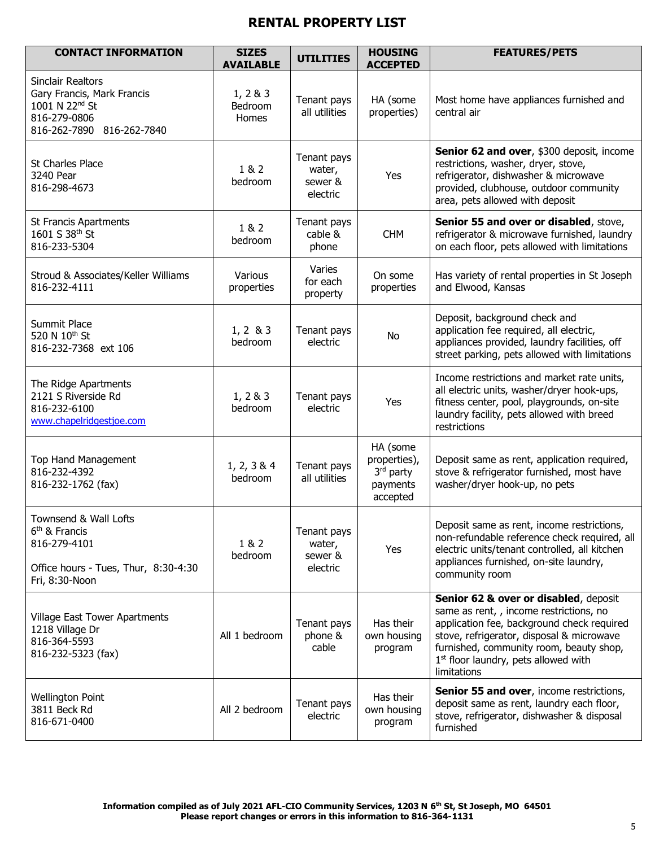| <b>CONTACT INFORMATION</b>                                                                                                        | <b>SIZES</b><br><b>AVAILABLE</b> | <b>UTILITIES</b>                             | <b>HOUSING</b><br><b>ACCEPTED</b>                             | <b>FEATURES/PETS</b>                                                                                                                                                                                                                                                                      |
|-----------------------------------------------------------------------------------------------------------------------------------|----------------------------------|----------------------------------------------|---------------------------------------------------------------|-------------------------------------------------------------------------------------------------------------------------------------------------------------------------------------------------------------------------------------------------------------------------------------------|
| <b>Sinclair Realtors</b><br>Gary Francis, Mark Francis<br>1001 N 22 <sup>nd</sup> St<br>816-279-0806<br>816-262-7890 816-262-7840 | 1, 2 & 3<br>Bedroom<br>Homes     | Tenant pays<br>all utilities                 | HA (some<br>properties)                                       | Most home have appliances furnished and<br>central air                                                                                                                                                                                                                                    |
| <b>St Charles Place</b><br>3240 Pear<br>816-298-4673                                                                              | 1 & 2<br>bedroom                 | Tenant pays<br>water,<br>sewer &<br>electric | Yes                                                           | Senior 62 and over, \$300 deposit, income<br>restrictions, washer, dryer, stove,<br>refrigerator, dishwasher & microwave<br>provided, clubhouse, outdoor community<br>area, pets allowed with deposit                                                                                     |
| <b>St Francis Apartments</b><br>1601 S 38th St<br>816-233-5304                                                                    | 1 & 2<br>bedroom                 | Tenant pays<br>cable &<br>phone              | <b>CHM</b>                                                    | Senior 55 and over or disabled, stove,<br>refrigerator & microwave furnished, laundry<br>on each floor, pets allowed with limitations                                                                                                                                                     |
| Stroud & Associates/Keller Williams<br>816-232-4111                                                                               | Various<br>properties            | Varies<br>for each<br>property               | On some<br>properties                                         | Has variety of rental properties in St Joseph<br>and Elwood, Kansas                                                                                                                                                                                                                       |
| Summit Place<br>520 N 10 <sup>th</sup> St<br>816-232-7368 ext 106                                                                 | $1, 2 \& 3$<br>bedroom           | Tenant pays<br>electric                      | <b>No</b>                                                     | Deposit, background check and<br>application fee required, all electric,<br>appliances provided, laundry facilities, off<br>street parking, pets allowed with limitations                                                                                                                 |
| The Ridge Apartments<br>2121 S Riverside Rd<br>816-232-6100<br>www.chapelridgestjoe.com                                           | 1, 2 & 3<br>bedroom              | Tenant pays<br>electric                      | Yes                                                           | Income restrictions and market rate units,<br>all electric units, washer/dryer hook-ups,<br>fitness center, pool, playgrounds, on-site<br>laundry facility, pets allowed with breed<br>restrictions                                                                                       |
| <b>Top Hand Management</b><br>816-232-4392<br>816-232-1762 (fax)                                                                  | 1, 2, 3 & 4<br>bedroom           | Tenant pays<br>all utilities                 | HA (some<br>properties),<br>3rd party<br>payments<br>accepted | Deposit same as rent, application required,<br>stove & refrigerator furnished, most have<br>washer/dryer hook-up, no pets                                                                                                                                                                 |
| Townsend & Wall Lofts<br>6 <sup>th</sup> & Francis<br>816-279-4101<br>Office hours - Tues, Thur, 8:30-4:30<br>Fri, 8:30-Noon      | 1 & 2<br>bedroom                 | Tenant pays<br>water,<br>sewer &<br>electric | Yes                                                           | Deposit same as rent, income restrictions,<br>non-refundable reference check required, all<br>electric units/tenant controlled, all kitchen<br>appliances furnished, on-site laundry,<br>community room                                                                                   |
| Village East Tower Apartments<br>1218 Village Dr<br>816-364-5593<br>816-232-5323 (fax)                                            | All 1 bedroom                    | Tenant pays<br>phone &<br>cable              | Has their<br>own housing<br>program                           | Senior 62 & over or disabled, deposit<br>same as rent, , income restrictions, no<br>application fee, background check required<br>stove, refrigerator, disposal & microwave<br>furnished, community room, beauty shop,<br>1 <sup>st</sup> floor laundry, pets allowed with<br>limitations |
| <b>Wellington Point</b><br>3811 Beck Rd<br>816-671-0400                                                                           | All 2 bedroom                    | Tenant pays<br>electric                      | Has their<br>own housing<br>program                           | Senior 55 and over, income restrictions,<br>deposit same as rent, laundry each floor,<br>stove, refrigerator, dishwasher & disposal<br>furnished                                                                                                                                          |